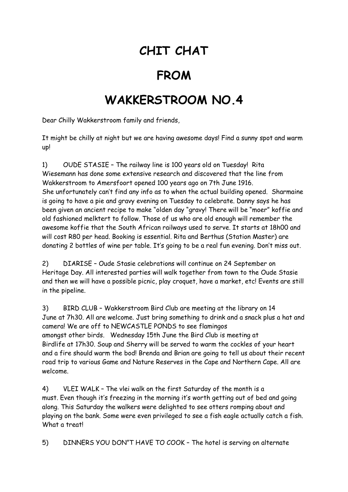## **CHIT CHAT**

## **FROM**

## **WAKKERSTROOM NO.4**

Dear Chilly Wakkerstroom family and friends,

It might be chilly at night but we are having awesome days! Find a sunny spot and warm up!

1) OUDE STASIE – The railway line is 100 years old on Tuesday! Rita Wiesemann has done some extensive research and discovered that the line from Wakkerstroom to Amersfoort opened 100 years ago on 7th June 1916. She unfortunately can't find any info as to when the actual building opened. Sharmaine is going to have a pie and gravy evening on Tuesday to celebrate. Danny says he has been given an ancient recipe to make "olden day "gravy! There will be "moer" koffie and old fashioned melktert to follow. Those of us who are old enough will remember the awesome koffie that the South African railways used to serve. It starts at 18h00 and will cost R80 per head. Booking is essential. Rita and Berthus (Station Master) are donating 2 bottles of wine per table. It's going to be a real fun evening. Don't miss out.

2) DIARISE – Oude Stasie celebrations will continue on 24 September on Heritage Day. All interested parties will walk together from town to the Oude Stasie and then we will have a possible picnic, play croquet, have a market, etc! Events are still in the pipeline.

3) BIRD CLUB – Wakkerstroom Bird Club are meeting at the library on 14 June at 7h30. All are welcome. Just bring something to drink and a snack plus a hat and camera! We are off to NEWCASTLE PONDS to see flamingos amongst other birds. Wednesday 15th June the Bird Club is meeting at Birdlife at 17h30. Soup and Sherry will be served to warm the cockles of your heart and a fire should warm the bod! Brenda and Brian are going to tell us about their recent road trip to various Game and Nature Reserves in the Cape and Northern Cape. All are welcome.

4) VLEI WALK – The vlei walk on the first Saturday of the month is a must. Even though it's freezing in the morning it's worth getting out of bed and going along. This Saturday the walkers were delighted to see otters romping about and playing on the bank. Some were even privileged to see a fish eagle actually catch a fish. What a treat!

5) DINNERS YOU DON"T HAVE TO COOK – The hotel is serving on alternate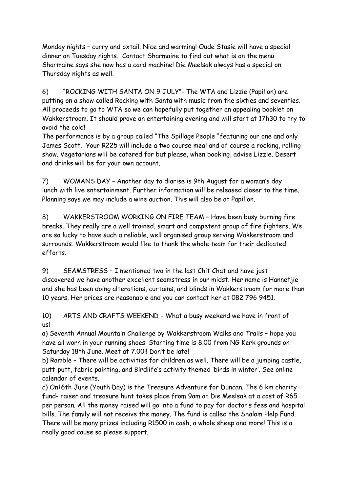Monday nights – curry and oxtail. Nice and warming! Oude Stasie will have a special dinner on Tuesday nights. Contact Sharmaine to find out what is on the menu. Sharmaine says she now has a card machine! Die Meelsak always has a special on Thursday nights as well.

6) "ROCKING WITH SANTA ON 9 JULY"- The WTA and Lizzie (Papillon) are putting on a show called Rocking with Santa with music from the sixties and seventies. All proceeds to go to WTA so we can hopefully put together an appealing booklet on Wakkerstroom. It should prove an entertaining evening and will start at 17h30 to try to avoid the cold!

The performance is by a group called "The Spillage People "featuring our one and only James Scott. Your R225 will include a two course meal and of course a rocking, rolling show. Vegetarians will be catered for but please, when booking, advise Lizzie. Desert and drinks will be for your own account.

7) WOMANS DAY – Another day to diarise is 9th August for a woman's day lunch with live entertainment. Further information will be released closer to the time. Planning says we may include a wine auction. This will also be at Papillon.

8) WAKKERSTROOM WORKING ON FIRE TEAM – Have been busy burning fire breaks. They really are a well trained, smart and competent group of fire fighters. We are so lucky to have such a reliable, well organised group serving Wakkerstroom and surrounds. Wakkerstroom would like to thank the whole team for their dedicated efforts.

9) SEAMSTRESS – I mentioned two in the last Chit Chat and have just discovered we have another excellent seamstress in our midst. Her name is Hannetjie and she has been doing alterations, curtains, and blinds in Wakkerstroom for more than 10 years. Her prices are reasonable and you can contact her at 082 796 9451.

10) ARTS AND CRAFTS WEEKEND - What a busy weekend we have in front of us!

a) Seventh Annual Mountain Challenge by Wakkerstroom Walks and Trails – hope you have all worn in your running shoes! Starting time is 8.00 from NG Kerk grounds on Saturday 18th June. Meet at 7.00!! Don't be late!

b) Ramble – There will be activities for children as well. There will be a jumping castle, putt-putt, fabric painting, and Birdlife's activity themed 'birds in winter'. See online calendar of events.

c) On16th June (Youth Day) is the Treasure Adventure for Duncan. The 6 km charity fund- raiser and treasure hunt takes place from 9am at Die Meelsak at a cost of R65 per person. All the money raised will go into a fund to pay for doctor's fees and hospital bills. The family will not receive the money. The fund is called the Shalom Help Fund. There will be many prizes including R1500 in cash, a whole sheep and more! This is a really good cause so please support.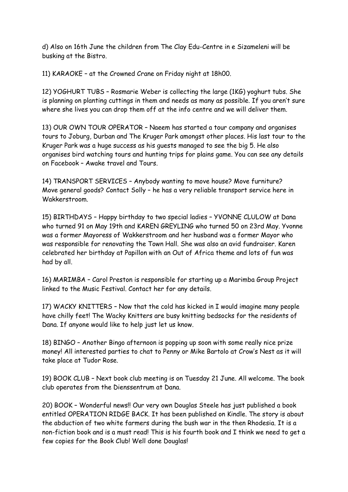d) Also on 16th June the children from The Clay Edu-Centre in e Sizameleni will be busking at the Bistro.

11) KARAOKE – at the Crowned Crane on Friday night at 18h00.

12) YOGHURT TUBS – Rosmarie Weber is collecting the large (1KG) yoghurt tubs. She is planning on planting cuttings in them and needs as many as possible. If you aren't sure where she lives you can drop them off at the info centre and we will deliver them.

13) OUR OWN TOUR OPERATOR – Naeem has started a tour company and organises tours to Joburg, Durban and The Kruger Park amongst other places. His last tour to the Kruger Park was a huge success as his guests managed to see the big 5. He also organises bird watching tours and hunting trips for plains game. You can see any details on Facebook – Awake travel and Tours.

14) TRANSPORT SERVICES – Anybody wanting to move house? Move furniture? Move general goods? Contact Solly – he has a very reliable transport service here in Wakkerstroom.

15) BIRTHDAYS – Happy birthday to two special ladies – YVONNE CLULOW at Dana who turned 91 on May 19th and KAREN GREYLING who turned 50 on 23rd May. Yvonne was a former Mayoress of Wakkerstroom and her husband was a former Mayor who was responsible for renovating the Town Hall. She was also an avid fundraiser. Karen celebrated her birthday at Papillon with an Out of Africa theme and lots of fun was had by all.

16) MARIMBA – Carol Preston is responsible for starting up a Marimba Group Project linked to the Music Festival. Contact her for any details.

17) WACKY KNITTERS – Now that the cold has kicked in I would imagine many people have chilly feet! The Wacky Knitters are busy knitting bedsocks for the residents of Dana. If anyone would like to help just let us know.

18) BINGO – Another Bingo afternoon is popping up soon with some really nice prize money! All interested parties to chat to Penny or Mike Bartolo at Crow's Nest as it will take place at Tudor Rose.

19) BOOK CLUB – Next book club meeting is on Tuesday 21 June. All welcome. The book club operates from the Dienssentrum at Dana.

20) BOOK – Wonderful news!! Our very own Douglas Steele has just published a book entitled OPERATION RIDGE BACK. It has been published on Kindle. The story is about the abduction of two white farmers during the bush war in the then Rhodesia. It is a non-fiction book and is a must read! This is his fourth book and I think we need to get a few copies for the Book Club! Well done Douglas!